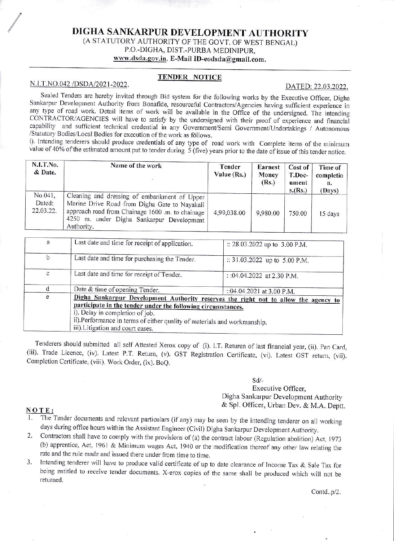# DIGHA SANKARPUR DEVELOPMENT AUTHORITY (A STATUTORY AUTHORITY OF THE GOVT. OF WEST BENGAL) P.O.-DIGHA, DIST.-PURBA MEDINIPUR, www.dsda.gov.in. E-Mail ID-eodsda@gmail.com.

## **TENDER NOTICE**

#### N.I.T.NO.042 /DSDA/2021-2022.

#### DATED: 22.03.2022.

Sealed Tenders are hereby invited through Bid system for the following works by the Executive Officer, Digha Sankarpur Development Authority from Bonafide, resourceful Contractors/Agencies having sufficient experience in any type of road work. Detail items of work will be available in the Office of the undersigned. The intending CONTRACTOR/AGENCIES will have to satisfy by the undersigned with their proof of experience and financial capability and sufficient technical credential in any Government/Semi Government/Undertakings / Autonomous /Statutory Bodies/Local Bodies for execution of the work as follows.

i). Intending tenderers should produce credentials of any type of road work with Complete items of the minimum value of 40% of the estimated amount put to tender during  $\overline{5}$  (five) years prior to the date of issue of this tender notice.

| <b>N.I.T.No.</b><br>& Date.    | Name of the work                                                                                                                                                                                             | Tender<br>Value $(Rs.)$ | <b>Earnest</b><br>Money<br>(Rs.) | Cost of<br>T.Doc-<br>ument<br>s(Rs.) | Time of<br>completio<br>n.<br>(Days) |
|--------------------------------|--------------------------------------------------------------------------------------------------------------------------------------------------------------------------------------------------------------|-------------------------|----------------------------------|--------------------------------------|--------------------------------------|
| No.041,<br>Dated:<br>22.03.22. | Cleaning and dressing of embankment of Upper<br>Marine Drive Road from Digha Gate to Nayakali<br>approach road from Chainage 1600 .m. to chainage<br>4250 m. under Digha Sankarpur Development<br>Authority. | 4,99,038.00             | 9,980.00                         | 750.00                               | 15 days                              |

| a           | Last date and time for receipt of application.                                                                                                                                         | :: 28.03.2022 up to 3.00 P.M. |  |  |
|-------------|----------------------------------------------------------------------------------------------------------------------------------------------------------------------------------------|-------------------------------|--|--|
| $\mathbf b$ | Last date and time for purchasing the Tender.                                                                                                                                          | :: 31.03.2022 up to 5.00 P.M. |  |  |
| с           | Last date and time for receipt of Tender.                                                                                                                                              | :: 04.04.2022 at 2.30 P.M.    |  |  |
|             | Date & time of opening Tender.                                                                                                                                                         | ::04.04.2021 at 3.00 P.M.     |  |  |
| e           | Digha Sankarpur Development Authority reserves the right not to allow the agency to<br>participate in the tender under the following circumstances.<br>i). Delay in completion of job. |                               |  |  |
|             | ii). Performance in terms of either quality of materials and workmanship.<br>iii). Litigation and court cases.                                                                         |                               |  |  |

Tenderers should submitted all self Attested Xerox copy of (i). I.T. Returen of last financial year, (ii). Pan Card, (iii). Trade Licence, (iv). Latest P.T. Return, (v). GST Registration Certificate, (vi). Latest GST return, (vii). Completion Certificate, (viii). Work Order, (ix). BoO.

#### $Sd/-$

## Executive Officer, Digha Sankarpur Development Authority & Spl. Officer, Urban Dev. & M.A. Dentt.

#### NOTE:

- The Tender documents and relevant particulars (if any) may be seen by the intending tenderer on all working days during office hours within the Assistant Engineer (Civil) Digha Sankarpur Development Authority.
- Contractors shall have to comply with the provisions of (a) the contract labour (Regulation abolition) Act, 1973  $2.$ (b) apprentice, Act, 1961 & Minimum wages Act, 1940 or the modification thereof any other law relating the rate and the rule made and issued there under from time to time.
- Intending tenderer will have to produce valid certificate of up to date clearance of Income Tax & Sale Tax for 3. being entitled to receive tender documents. X-erox copies of the same shall be produced which will not be returned.

Contd..p/2.